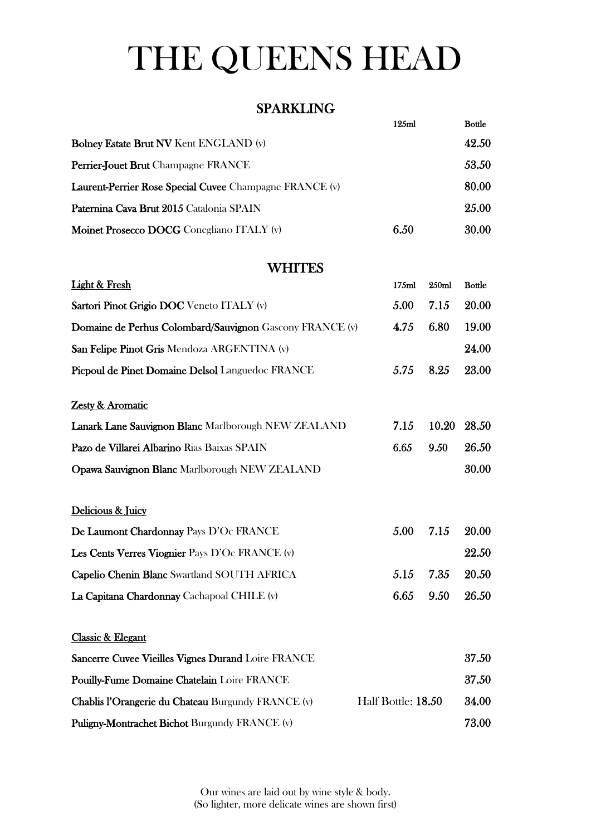# THE QUEENS HEAD

### SPARKLING

|                                                         | 125ml | <b>Bottle</b> |
|---------------------------------------------------------|-------|---------------|
| <b>Bolney Estate Brut NV Kent ENGLAND (v)</b>           |       | 42.50         |
| Perrier-Jouet Brut Champagne FRANCE                     |       | 53.50         |
| Laurent-Perrier Rose Special Cuvee Champagne FRANCE (v) |       | 80.00         |
| Paternina Cava Brut 2015 Catalonia SPAIN                |       | 25.00         |
| Moinet Prosecco DOCG Conegliano ITALY (v)               | 6.50  | 30.00         |

### **WHITES**

| <b>Light &amp; Fresh</b>                                 | 175ml              | 250ml | <b>Bottle</b> |
|----------------------------------------------------------|--------------------|-------|---------------|
| Sartori Pinot Grigio DOC Veneto ITALY (v)                | 5.00               | 7.15  | 20.00         |
| Domaine de Perhus Colombard/Sauvignon Gascony FRANCE (v) | 4.75               | 6.80  | 19.00         |
| San Felipe Pinot Gris Mendoza ARGENTINA (v)              |                    |       | 24.00         |
| Picpoul de Pinet Domaine Delsol Languedoc FRANCE         | 5.75               | 8.25  | 23.00         |
| Zesty & Aromatic                                         |                    |       |               |
| Lanark Lane Sauvignon Blanc Marlborough NEW ZEALAND      | 7.15               | 10.20 | 28.50         |
| Pazo de Villarei Albarino Rias Baixas SPAIN              | 6.65               | 9.50  | 26.50         |
| Opawa Sauvignon Blanc Marlborough NEW ZEALAND            |                    |       | 30.00         |
| Delicious & Juicy                                        |                    |       |               |
| De Laumont Chardonnay Pays D'Oc FRANCE                   | 5.00               | 7.15  | 20.00         |
| Les Cents Verres Viognier Pays D'Oc FRANCE (v)           |                    |       | 22.50         |
| Capelio Chenin Blanc Swartland SOUTH AFRICA              | 5.15               | 7.35  | 20.50         |
| La Capitana Chardonnay Cachapoal CHILE (v)               | 6.65               | 9.50  | 26.50         |
| Classic & Elegant                                        |                    |       |               |
| Sancerre Cuvee Vieilles Vignes Durand Loire FRANCE       |                    |       | 37.50         |
| Pouilly-Fume Domaine Chatelain Loire FRANCE              |                    |       | 37.50         |
| Chablis l'Orangerie du Chateau Burgundy FRANCE (v)       | Half Bottle: 18.50 |       | 34.00         |
| Puligny-Montrachet Bichot Burgundy FRANCE (v)            |                    |       | 73.00         |